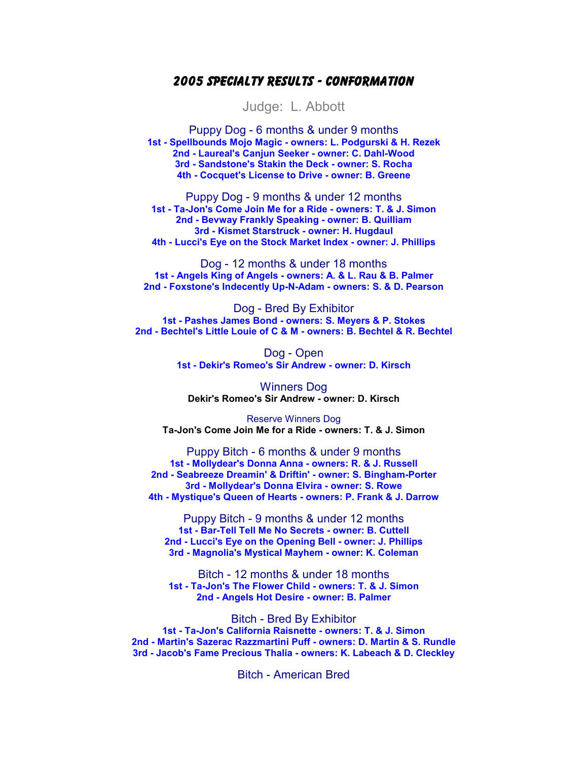## 2005 Specialty Results - Conformation

Judge: L. Abbott

Puppy Dog - 6 months & under 9 months 1st - Spellbounds Mojo Magic - owners: L. Podgurski & H. Rezek 2nd - Laureal's Canjun Seeker - owner: C. Dahl-Wood 3rd - Sandstone's Stakin the Deck - owner: S. Rocha 4th - Cocquet's License to Drive - owner: B. Greene

Puppy Dog - 9 months & under 12 months 1st - Ta-Jon's Come Join Me for a Ride - owners: T. & J. Simon 2nd - Bevway Frankly Speaking - owner: B. Quilliam 3rd - Kismet Starstruck - owner: H. Hugdaul 4th - Lucci's Eye on the Stock Market Index - owner: J. Phillips

Dog - 12 months & under 18 months 1st - Angels King of Angels - owners: A. & L. Rau & B. Palmer 2nd - Foxstone's Indecently Up-N-Adam - owners: S. & D. Pearson

Dog - Bred By Exhibitor 1st - Pashes James Bond - owners: S. Meyers & P. Stokes 2nd - Bechtel's Little Louie of C & M - owners: B. Bechtel & R. Bechtel

> Dog - Open 1st - Dekir's Romeo's Sir Andrew - owner: D. Kirsch

Winners Dog Dekir's Romeo's Sir Andrew - owner: D. Kirsch

Reserve Winners Dog Ta-Jon's Come Join Me for a Ride - owners: T. & J. Simon

Puppy Bitch - 6 months & under 9 months 1st - Mollydear's Donna Anna - owners: R. & J. Russell 2nd - Seabreeze Dreamin' & Driftin' - owner: S. Bingham-Porter 3rd - Mollydear's Donna Elvira - owner: S. Rowe 4th - Mystique's Queen of Hearts - owners: P. Frank & J. Darrow

Puppy Bitch - 9 months & under 12 months 1st - Bar-Tell Tell Me No Secrets - owner: B. Cuttell 2nd - Lucci's Eye on the Opening Bell - owner: J. Phillips 3rd - Magnolia's Mystical Mayhem - owner: K. Coleman

Bitch - 12 months & under 18 months 1st - Ta-Jon's The Flower Child - owners: T. & J. Simon 2nd - Angels Hot Desire - owner: B. Palmer

Bitch - Bred By Exhibitor 1st - Ta-Jon's California Raisnette - owners: T. & J. Simon 2nd - Martin's Sazerac Razzmartini Puff - owners: D. Martin & S. Rundle 3rd - Jacob's Fame Precious Thalia - owners: K. Labeach & D. Cleckley

Bitch - American Bred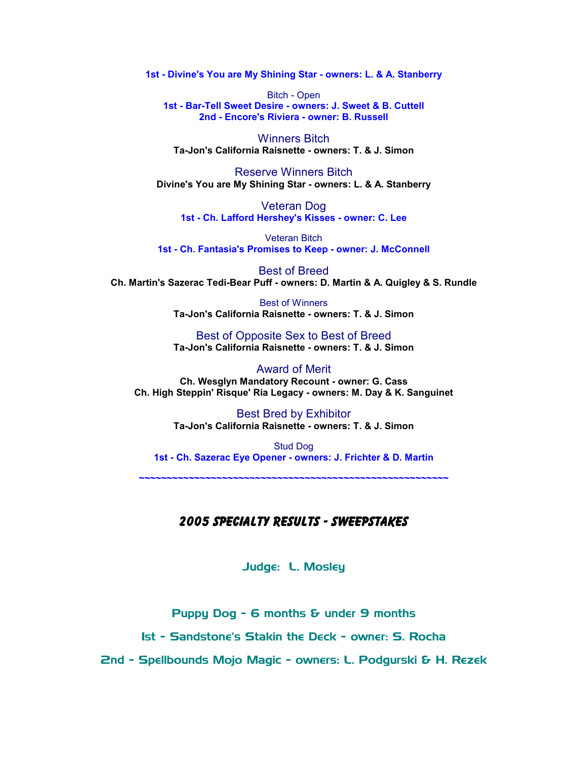1st - Divine's You are My Shining Star - owners: L. & A. Stanberry

Bitch - Open 1st - Bar-Tell Sweet Desire - owners: J. Sweet & B. Cuttell 2nd - Encore's Riviera - owner: B. Russell

Winners Bitch Ta-Jon's California Raisnette - owners: T. & J. Simon

Reserve Winners Bitch Divine's You are My Shining Star - owners: L. & A. Stanberry

Veteran Dog 1st - Ch. Lafford Hershey's Kisses - owner: C. Lee

Veteran Bitch 1st - Ch. Fantasia's Promises to Keep - owner: J. McConnell

Best of Breed Ch. Martin's Sazerac Tedi-Bear Puff - owners: D. Martin & A. Quigley & S. Rundle

> Best of Winners Ta-Jon's California Raisnette - owners: T. & J. Simon

> Best of Opposite Sex to Best of Breed Ta-Jon's California Raisnette - owners: T. & J. Simon

Award of Merit Ch. Wesglyn Mandatory Recount - owner: G. Cass Ch. High Steppin' Risque' Ria Legacy - owners: M. Day & K. Sanguinet

> Best Bred by Exhibitor Ta-Jon's California Raisnette - owners: T. & J. Simon

Stud Dog 1st - Ch. Sazerac Eye Opener - owners: J. Frichter & D. Martin

~~~~~~~~~~~~~~~~~~~~~~~~~~~~~~~~~~~~~~~~~~~~~~~~~~~~~~~~

## 2005 Specialty Results - Sweepstakes

Judge: L. Mosley

Puppy Dog - 6 months & under 9 months

1st - Sandstone's Stakin the Deck - owner: S. Rocha

2nd - Spellbounds Mojo Magic - owners: L. Podgurski & H. Rezek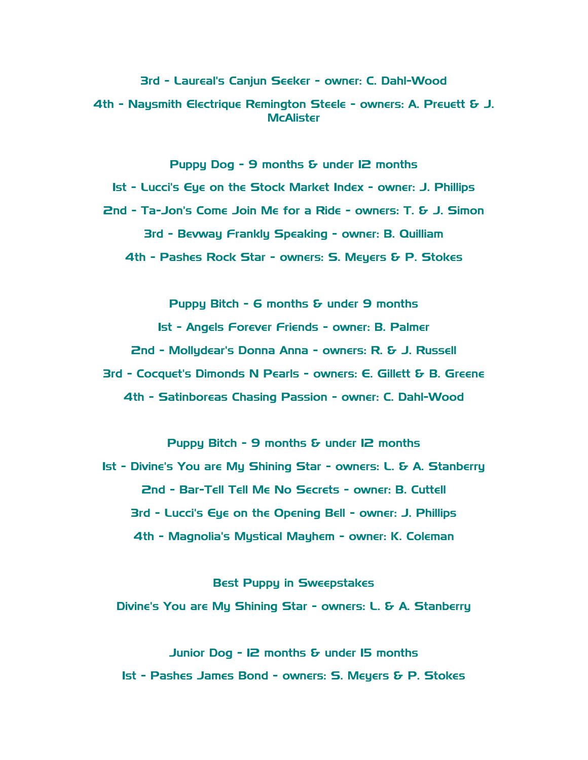3rd - Laureal's Canjun Seeker - owner: C. Dahl-Wood

4th - Naysmith Electrique Remington Steele - owners: A. Preuett & J. **McAlister** 

Puppy Dog - 9 months & under I2 months

1st - Lucci's Eye on the Stock Market Index - owner: J. Phillips 2nd - Ta-Jon's Come Join Me for a Ride - owners: T. & J. Simon 3rd - Bevway Frankly Speaking - owner: B. Quilliam 4th - Pashes Rock Star - owners: S. Meyers & P. Stokes

Puppy Bitch - 6 months & under 9 months

1st - Angels Forever Friends - owner: B. Palmer

2nd - Mollydear's Donna Anna - owners: R. & J. Russell

3rd - Cocquet's Dimonds N Pearls - owners: E. Gillett & B. Greene 4th - Satinboreas Chasing Passion - owner: C. Dahl-Wood

Puppy Bitch - 9 months & under 12 months 1st - Divine's You are My Shining Star - owners: L. & A. Stanberry 2nd - Bar-Tell Tell Me No Secrets - owner: B. Cuttell 3rd - Lucci's Eye on the Opening Bell - owner: J. Phillips 4th - Magnolia's Mystical Mayhem - owner: K. Coleman

Best Puppy in Sweepstakes Divine's You are My Shining Star - owners: L. & A. Stanberry

Junior Dog - 12 months & under 15 months 1st - Pashes James Bond - owners: S. Meyers & P. Stokes